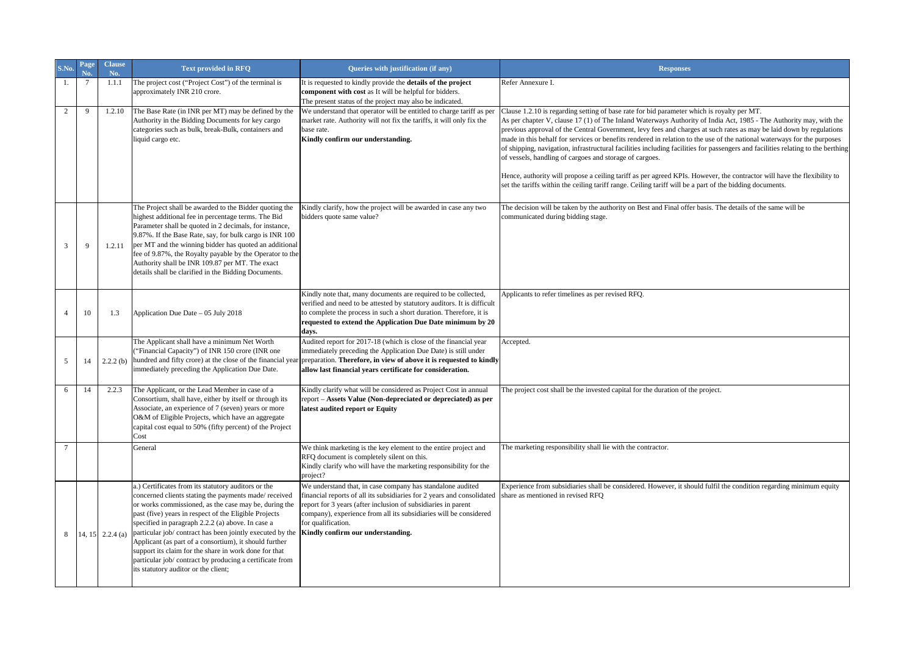|                | Page<br>N <sub>0</sub> | <b>Clause</b><br>No. | <b>Text provided in RFQ</b>                                                                                                                                                                                                                                                                                                                                                                                                                                                                                                                                            | Queries with justification (if any)                                                                                                                                                                                                                                                                                                   | <b>Responses</b>                                                                                                                                                                                                                                                                                                                                                                                                                                                                                                                                                                                                                                                                                                                                                                                                                                                                                        |
|----------------|------------------------|----------------------|------------------------------------------------------------------------------------------------------------------------------------------------------------------------------------------------------------------------------------------------------------------------------------------------------------------------------------------------------------------------------------------------------------------------------------------------------------------------------------------------------------------------------------------------------------------------|---------------------------------------------------------------------------------------------------------------------------------------------------------------------------------------------------------------------------------------------------------------------------------------------------------------------------------------|---------------------------------------------------------------------------------------------------------------------------------------------------------------------------------------------------------------------------------------------------------------------------------------------------------------------------------------------------------------------------------------------------------------------------------------------------------------------------------------------------------------------------------------------------------------------------------------------------------------------------------------------------------------------------------------------------------------------------------------------------------------------------------------------------------------------------------------------------------------------------------------------------------|
| -1.            | $\overline{7}$         | 1.1.1                | The project cost ("Project Cost") of the terminal is<br>approximately INR 210 crore.                                                                                                                                                                                                                                                                                                                                                                                                                                                                                   | It is requested to kindly provide the details of the project<br>component with cost as It will be helpful for bidders.<br>The present status of the project may also be indicated.                                                                                                                                                    | Refer Annexure I.                                                                                                                                                                                                                                                                                                                                                                                                                                                                                                                                                                                                                                                                                                                                                                                                                                                                                       |
| 2              | 9                      | 1.2.10               | The Base Rate (in INR per MT) may be defined by the<br>Authority in the Bidding Documents for key cargo<br>categories such as bulk, break-Bulk, containers and<br>liquid cargo etc.                                                                                                                                                                                                                                                                                                                                                                                    | We understand that operator will be entitled to charge tariff as per<br>market rate. Authority will not fix the tariffs, it will only fix the<br>base rate.<br>Kindly confirm our understanding.                                                                                                                                      | Clause 1.2.10 is regarding setting of base rate for bid parameter which is royalty per MT.<br>As per chapter V, clause 17 (1) of The Inland Waterways Authority of India Act, 1985 - The Authority may, with the<br>previous approval of the Central Government, levy fees and charges at such rates as may be laid down by regulations<br>made in this behalf for services or benefits rendered in relation to the use of the national waterways for the purposes<br>of shipping, navigation, infrastructural facilities including facilities for passengers and facilities relating to the berthing<br>of vessels, handling of cargoes and storage of cargoes.<br>Hence, authority will propose a ceiling tariff as per agreed KPIs. However, the contractor will have the flexibility to<br>set the tariffs within the ceiling tariff range. Ceiling tariff will be a part of the bidding documents. |
| 3              | $\mathbf Q$            | 1.2.11               | The Project shall be awarded to the Bidder quoting the<br>highest additional fee in percentage terms. The Bid<br>Parameter shall be quoted in 2 decimals, for instance,<br>9.87%. If the Base Rate, say, for bulk cargo is INR 100<br>per MT and the winning bidder has quoted an additional<br>fee of 9.87%, the Royalty payable by the Operator to the<br>Authority shall be INR 109.87 per MT. The exact<br>details shall be clarified in the Bidding Documents.                                                                                                    | Kindly clarify, how the project will be awarded in case any two<br>bidders quote same value?                                                                                                                                                                                                                                          | The decision will be taken by the authority on Best and Final offer basis. The details of the same will be<br>communicated during bidding stage.                                                                                                                                                                                                                                                                                                                                                                                                                                                                                                                                                                                                                                                                                                                                                        |
| $\overline{4}$ | 10                     | 1.3                  | Application Due Date - 05 July 2018                                                                                                                                                                                                                                                                                                                                                                                                                                                                                                                                    | Kindly note that, many documents are required to be collected,<br>verified and need to be attested by statutory auditors. It is difficult<br>to complete the process in such a short duration. Therefore, it is<br>requested to extend the Application Due Date minimum by 20<br>days.                                                | Applicants to refer timelines as per revised RFQ.                                                                                                                                                                                                                                                                                                                                                                                                                                                                                                                                                                                                                                                                                                                                                                                                                                                       |
| 5              | 14                     | 2.2.2(b)             | The Applicant shall have a minimum Net Worth<br>"Financial Capacity") of INR 150 crore (INR one<br>hundred and fifty crore) at the close of the financial year<br>immediately preceding the Application Due Date.                                                                                                                                                                                                                                                                                                                                                      | Audited report for 2017-18 (which is close of the financial year<br>immediately preceding the Application Due Date) is still under<br>preparation. Therefore, in view of above it is requested to kindly<br>allow last financial years certificate for consideration.                                                                 | Accepted.                                                                                                                                                                                                                                                                                                                                                                                                                                                                                                                                                                                                                                                                                                                                                                                                                                                                                               |
| 6              | 14                     | 2.2.3                | The Applicant, or the Lead Member in case of a<br>Consortium, shall have, either by itself or through its<br>Associate, an experience of 7 (seven) years or more<br>O&M of Eligible Projects, which have an aggregate<br>capital cost equal to 50% (fifty percent) of the Project<br>Cost                                                                                                                                                                                                                                                                              | Kindly clarify what will be considered as Project Cost in annual<br>report - Assets Value (Non-depreciated or depreciated) as per<br>latest audited report or Equity                                                                                                                                                                  | The project cost shall be the invested capital for the duration of the project.                                                                                                                                                                                                                                                                                                                                                                                                                                                                                                                                                                                                                                                                                                                                                                                                                         |
| $\overline{7}$ |                        |                      | General                                                                                                                                                                                                                                                                                                                                                                                                                                                                                                                                                                | We think marketing is the key element to the entire project and<br>RFQ document is completely silent on this.<br>Kindly clarify who will have the marketing responsibility for the<br>project?                                                                                                                                        | The marketing responsibility shall lie with the contractor.                                                                                                                                                                                                                                                                                                                                                                                                                                                                                                                                                                                                                                                                                                                                                                                                                                             |
| 8              |                        | 14, 15 $2.2.4$ (a)   | a.) Certificates from its statutory auditors or the<br>concerned clients stating the payments made/received<br>or works commissioned, as the case may be, during the<br>past (five) years in respect of the Eligible Projects<br>specified in paragraph 2.2.2 (a) above. In case a<br>particular job/ contract has been jointly executed by the<br>Applicant (as part of a consortium), it should further<br>support its claim for the share in work done for that<br>particular job/ contract by producing a certificate from<br>its statutory auditor or the client; | We understand that, in case company has standalone audited<br>financial reports of all its subsidiaries for 2 years and consolidated<br>report for 3 years (after inclusion of subsidiaries in parent<br>company), experience from all its subsidiaries will be considered<br>for qualification.<br>Kindly confirm our understanding. | Experience from subsidiaries shall be considered. However, it should fulfil the condition regarding minimum equity<br>share as mentioned in revised RFQ                                                                                                                                                                                                                                                                                                                                                                                                                                                                                                                                                                                                                                                                                                                                                 |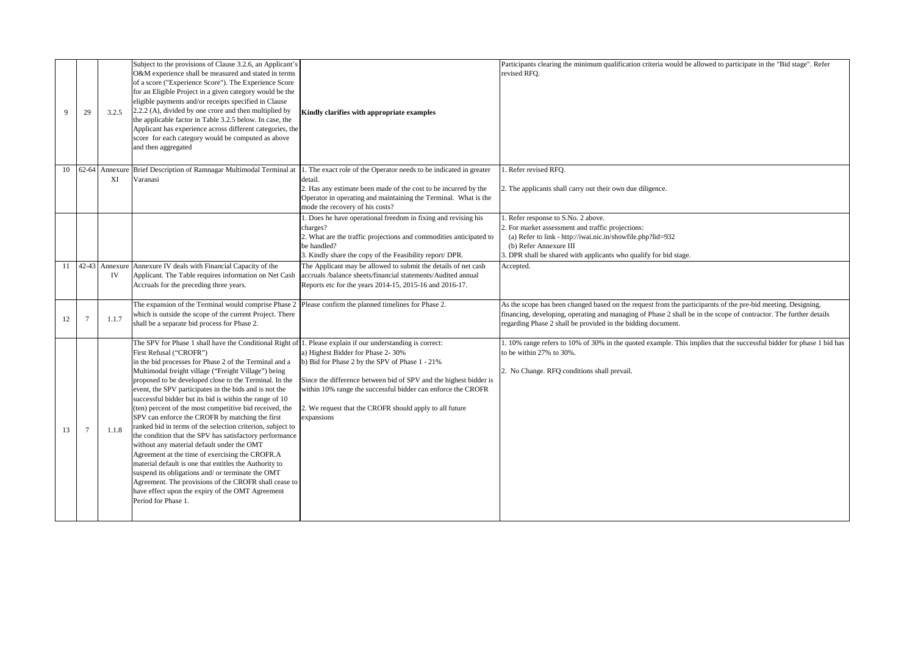|    | 29    | 3.2.5         | Subject to the provisions of Clause 3.2.6, an Applicant's<br>O&M experience shall be measured and stated in terms<br>of a score ("Experience Score"). The Experience Score<br>for an Eligible Project in a given category would be the<br>eligible payments and/or receipts specified in Clause<br>2.2.2 (A), divided by one crore and then multiplied by<br>the applicable factor in Table 3.2.5 below. In case, the<br>Applicant has experience across different categories, the<br>score for each category would be computed as above<br>and then aggregated                                                                                                                                                                                                                                                                                                                                                                                                                                                                   | Kindly clarifies with appropriate examples                                                                                                                                                                                                                                                        | Participants clearing the minimum qualification criteria would be allowed to participate in the "Bid stage". Refer<br>revised RFO.                                                                                                                                                                |
|----|-------|---------------|-----------------------------------------------------------------------------------------------------------------------------------------------------------------------------------------------------------------------------------------------------------------------------------------------------------------------------------------------------------------------------------------------------------------------------------------------------------------------------------------------------------------------------------------------------------------------------------------------------------------------------------------------------------------------------------------------------------------------------------------------------------------------------------------------------------------------------------------------------------------------------------------------------------------------------------------------------------------------------------------------------------------------------------|---------------------------------------------------------------------------------------------------------------------------------------------------------------------------------------------------------------------------------------------------------------------------------------------------|---------------------------------------------------------------------------------------------------------------------------------------------------------------------------------------------------------------------------------------------------------------------------------------------------|
| 10 | 62-64 | Annexur<br>XI | Brief Description of Ramnagar Multimodal Terminal at<br>Varanasi                                                                                                                                                                                                                                                                                                                                                                                                                                                                                                                                                                                                                                                                                                                                                                                                                                                                                                                                                                  | 1. The exact role of the Operator needs to be indicated in greater<br>detail.<br>2. Has any estimate been made of the cost to be incurred by the<br>Operator in operating and maintaining the Terminal. What is the<br>mode the recovery of his costs?                                            | 1. Refer revised RFO.<br>2. The applicants shall carry out their own due diligence.                                                                                                                                                                                                               |
|    |       |               |                                                                                                                                                                                                                                                                                                                                                                                                                                                                                                                                                                                                                                                                                                                                                                                                                                                                                                                                                                                                                                   | 1. Does he have operational freedom in fixing and revising his<br>charges?<br>2. What are the traffic projections and commodities anticipated to<br>be handled?<br>3. Kindly share the copy of the Feasibility report/ DPR.                                                                       | . Refer response to S.No. 2 above.<br>2. For market assessment and traffic projections:<br>(a) Refer to link - http://iwai.nic.in/showfile.php?lid=932<br>(b) Refer Annexure III<br>3. DPR shall be shared with applicants who qualify for bid stage.                                             |
|    |       | IV            | 11 42-43 Annexure Annexure IV deals with Financial Capacity of the<br>Applicant. The Table requires information on Net Cash<br>Accruals for the preceding three years.                                                                                                                                                                                                                                                                                                                                                                                                                                                                                                                                                                                                                                                                                                                                                                                                                                                            | The Applicant may be allowed to submit the details of net cash<br>accruals /balance sheets/financial statements/Audited annual<br>Reports etc for the years 2014-15, 2015-16 and 2016-17.                                                                                                         | Accepted.                                                                                                                                                                                                                                                                                         |
| 12 |       | 1.1.7         | The expansion of the Terminal would comprise Phase 2 Please confirm the planned timelines for Phase 2.<br>which is outside the scope of the current Project. There<br>shall be a separate bid process for Phase 2.                                                                                                                                                                                                                                                                                                                                                                                                                                                                                                                                                                                                                                                                                                                                                                                                                |                                                                                                                                                                                                                                                                                                   | As the scope has been changed based on the request from the participarnts of the pre-bid meeting. Designing,<br>financing, developing, operating and managing of Phase 2 shall be in the scope of contractor. The further details<br>regarding Phase 2 shall be provided in the bidding document. |
| 13 |       | 1.1.8         | The SPV for Phase 1 shall have the Conditional Right of 1. Please explain if our understanding is correct:<br>First Refusal ("CROFR")<br>in the bid processes for Phase 2 of the Terminal and a<br>Multimodal freight village ("Freight Village") being<br>proposed to be developed close to the Terminal. In the<br>event, the SPV participates in the bids and is not the<br>successful bidder but its bid is within the range of 10<br>(ten) percent of the most competitive bid received, the<br>SPV can enforce the CROFR by matching the first<br>ranked bid in terms of the selection criterion, subject to<br>the condition that the SPV has satisfactory performance<br>without any material default under the OMT<br>Agreement at the time of exercising the CROFR.A<br>material default is one that entitles the Authority to<br>suspend its obligations and/ or terminate the OMT<br>Agreement. The provisions of the CROFR shall cease to<br>have effect upon the expiry of the OMT Agreement<br>Period for Phase 1. | a) Highest Bidder for Phase 2- 30%<br>b) Bid for Phase 2 by the SPV of Phase 1 - 21%<br>Since the difference between bid of SPV and the highest bidder is<br>within 10% range the successful bidder can enforce the CROFR<br>. We request that the CROFR should apply to all future<br>expansions | 1. 10% range refers to 10% of 30% in the quoted example. This implies that the successful bidder for phase 1 bid has<br>to be within 27% to 30%.<br>2. No Change. RFQ conditions shall prevail.                                                                                                   |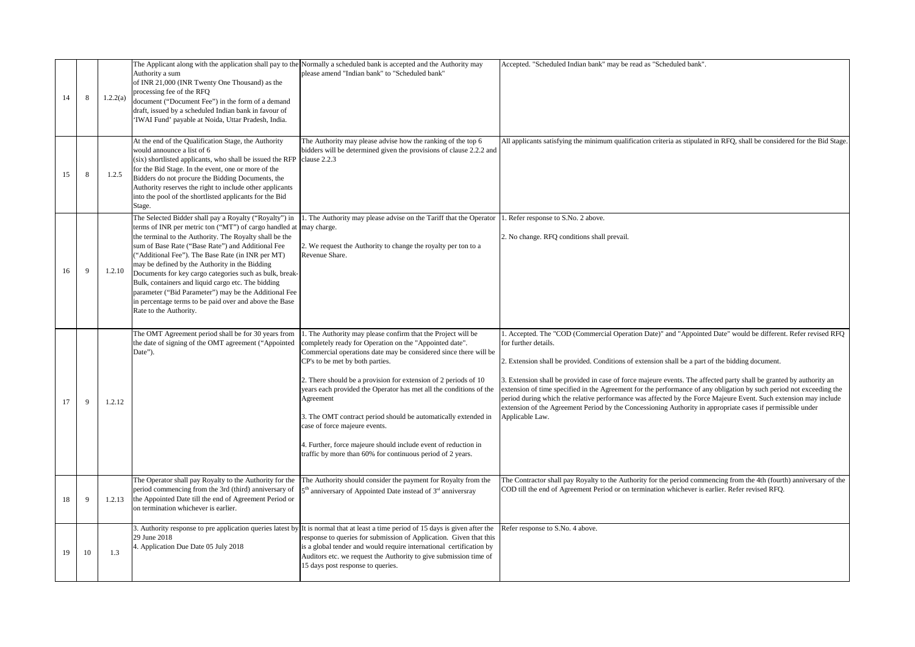| 14 | 8            | 1.2.2(a) | Authority a sum<br>of INR 21,000 (INR Twenty One Thousand) as the<br>processing fee of the RFQ<br>document ("Document Fee") in the form of a demand<br>draft, issued by a scheduled Indian bank in favour of<br>'IWAI Fund' payable at Noida, Uttar Pradesh, India.                                                                                                                                                                                                                                                                                                                                  | The Applicant along with the application shall pay to the Normally a scheduled bank is accepted and the Authority may<br>please amend "Indian bank" to "Scheduled bank"                                                                                                                                                                                                                                                                                                                                                                                                                                                | Accepted. "Scheduled Indian bank" may be read as "Scheduled bank".                                                                                                                                                                                                                                                                                                                                                                                                                                                                                                                                                                                                                                                                           |
|----|--------------|----------|------------------------------------------------------------------------------------------------------------------------------------------------------------------------------------------------------------------------------------------------------------------------------------------------------------------------------------------------------------------------------------------------------------------------------------------------------------------------------------------------------------------------------------------------------------------------------------------------------|------------------------------------------------------------------------------------------------------------------------------------------------------------------------------------------------------------------------------------------------------------------------------------------------------------------------------------------------------------------------------------------------------------------------------------------------------------------------------------------------------------------------------------------------------------------------------------------------------------------------|----------------------------------------------------------------------------------------------------------------------------------------------------------------------------------------------------------------------------------------------------------------------------------------------------------------------------------------------------------------------------------------------------------------------------------------------------------------------------------------------------------------------------------------------------------------------------------------------------------------------------------------------------------------------------------------------------------------------------------------------|
| 15 | 8            | 1.2.5    | At the end of the Qualification Stage, the Authority<br>would announce a list of 6<br>(six) shortlisted applicants, who shall be issued the RFP<br>for the Bid Stage. In the event, one or more of the<br>Bidders do not procure the Bidding Documents, the<br>Authority reserves the right to include other applicants<br>into the pool of the shortlisted applicants for the Bid<br>Stage.                                                                                                                                                                                                         | The Authority may please advise how the ranking of the top 6<br>bidders will be determined given the provisions of clause 2.2.2 and<br>clause 2.2.3                                                                                                                                                                                                                                                                                                                                                                                                                                                                    | All applicants satisfying the minimum qualification criteria as stipulated in RFQ, shall be considered for the Bid Stage                                                                                                                                                                                                                                                                                                                                                                                                                                                                                                                                                                                                                     |
| 16 | 9            | 1.2.10   | The Selected Bidder shall pay a Royalty ("Royalty") in<br>terms of INR per metric ton ("MT") of cargo handled at<br>the terminal to the Authority. The Royalty shall be the<br>sum of Base Rate ("Base Rate") and Additional Fee<br>"Additional Fee"). The Base Rate (in INR per MT)<br>may be defined by the Authority in the Bidding<br>Documents for key cargo categories such as bulk, break-<br>Bulk, containers and liquid cargo etc. The bidding<br>parameter ("Bid Parameter") may be the Additional Fee<br>in percentage terms to be paid over and above the Base<br>Rate to the Authority. | 1. The Authority may please advise on the Tariff that the Operator 1. Refer response to S.No. 2 above.<br>may charge.<br>2. We request the Authority to change the royalty per ton to a<br>Revenue Share.                                                                                                                                                                                                                                                                                                                                                                                                              | 2. No change. RFQ conditions shall prevail.                                                                                                                                                                                                                                                                                                                                                                                                                                                                                                                                                                                                                                                                                                  |
| 17 | 9            | 1.2.12   | The OMT Agreement period shall be for 30 years from<br>the date of signing of the OMT agreement ("Appointed<br>Date").                                                                                                                                                                                                                                                                                                                                                                                                                                                                               | . The Authority may please confirm that the Project will be<br>completely ready for Operation on the "Appointed date".<br>Commercial operations date may be considered since there will be<br>CP's to be met by both parties.<br>2. There should be a provision for extension of 2 periods of 10<br>years each provided the Operator has met all the conditions of the<br>Agreement<br>3. The OMT contract period should be automatically extended in<br>case of force majeure events.<br>4. Further, force majeure should include event of reduction in<br>traffic by more than 60% for continuous period of 2 years. | 1. Accepted. The "COD (Commercial Operation Date)" and "Appointed Date" would be different. Refer revised RFQ<br>for further details.<br>2. Extension shall be provided. Conditions of extension shall be a part of the bidding document.<br>3. Extension shall be provided in case of force majeure events. The affected party shall be granted by authority an<br>extension of time specified in the Agreement for the performance of any obligation by such period not exceeding the<br>period during which the relative performance was affected by the Force Majeure Event. Such extension may include<br>extension of the Agreement Period by the Concessioning Authority in appropriate cases if permissible under<br>Applicable Law. |
| 18 | $\mathbf{Q}$ | 1.2.13   | The Operator shall pay Royalty to the Authority for the<br>period commencing from the 3rd (third) anniversary of<br>the Appointed Date till the end of Agreement Period or<br>on termination whichever is earlier.                                                                                                                                                                                                                                                                                                                                                                                   | The Authority should consider the payment for Royalty from the<br>5 <sup>th</sup> anniversary of Appointed Date instead of 3 <sup>rd</sup> anniversray                                                                                                                                                                                                                                                                                                                                                                                                                                                                 | The Contractor shall pay Royalty to the Authority for the period commencing from the 4th (fourth) anniversary of the<br>COD till the end of Agreement Period or on termination whichever is earlier. Refer revised RFQ.                                                                                                                                                                                                                                                                                                                                                                                                                                                                                                                      |
| 19 | 10           | 1.3      | 29 June 2018<br>4. Application Due Date 05 July 2018                                                                                                                                                                                                                                                                                                                                                                                                                                                                                                                                                 | 3. Authority response to pre application queries latest by It is normal that at least a time period of 15 days is given after the<br>response to queries for submission of Application. Given that this<br>is a global tender and would require international certification by<br>Auditors etc. we request the Authority to give submission time of<br>15 days post response to queries.                                                                                                                                                                                                                               | Refer response to S.No. 4 above.                                                                                                                                                                                                                                                                                                                                                                                                                                                                                                                                                                                                                                                                                                             |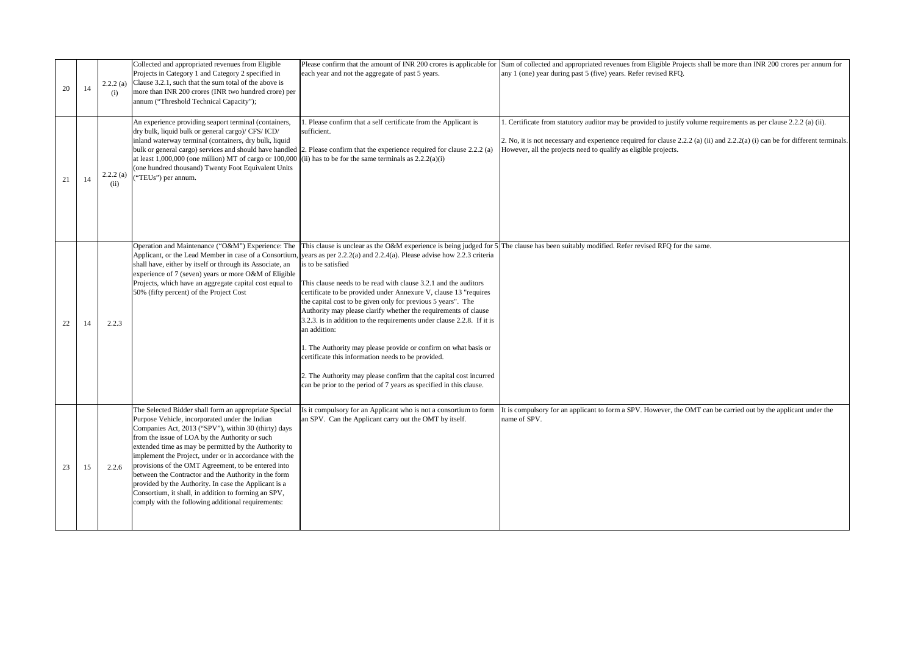| 20 | 14 | 2.2.2(a)<br>(i)  | Collected and appropriated revenues from Eligible<br>Projects in Category 1 and Category 2 specified in<br>Clause 3.2.1, such that the sum total of the above is<br>more than INR 200 crores (INR two hundred crore) per                                                                                                                                                                                                                                                                                                                                                                                                   | each year and not the aggregate of past 5 years.                                                                                                                                                                                                                                                                                                                                                                                                                                                                                                                                                                                                                                                                                           | Please confirm that the amount of INR 200 crores is applicable for Sum of collected and appropriated revenues from Eligible Projects shall be more than INR 200 crores per annum for<br>any 1 (one) year during past 5 (five) years. Refer revised RFQ.                                                               |
|----|----|------------------|----------------------------------------------------------------------------------------------------------------------------------------------------------------------------------------------------------------------------------------------------------------------------------------------------------------------------------------------------------------------------------------------------------------------------------------------------------------------------------------------------------------------------------------------------------------------------------------------------------------------------|--------------------------------------------------------------------------------------------------------------------------------------------------------------------------------------------------------------------------------------------------------------------------------------------------------------------------------------------------------------------------------------------------------------------------------------------------------------------------------------------------------------------------------------------------------------------------------------------------------------------------------------------------------------------------------------------------------------------------------------------|-----------------------------------------------------------------------------------------------------------------------------------------------------------------------------------------------------------------------------------------------------------------------------------------------------------------------|
| 21 | 14 | 2.2.2(a)<br>(ii) | annum ("Threshold Technical Capacity");<br>An experience providing seaport terminal (containers,<br>dry bulk, liquid bulk or general cargo)/ CFS/ ICD/<br>inland waterway terminal (containers, dry bulk, liquid<br>at least 1,000,000 (one million) MT of cargo or 100,000<br>(one hundred thousand) Twenty Foot Equivalent Units<br>("TEUs") per annum.                                                                                                                                                                                                                                                                  | 1. Please confirm that a self certificate from the Applicant is<br>sufficient.<br>bulk or general cargo) services and should have handled 2. Please confirm that the experience required for clause 2.2.2 (a)<br>(ii) has to be for the same terminals as $2.2.2(a)(i)$                                                                                                                                                                                                                                                                                                                                                                                                                                                                    | 1. Certificate from statutory auditor may be provided to justify volume requirements as per clause 2.2.2 (a) (ii).<br>2. No, it is not necessary and experience required for clause 2.2.2 (a) (ii) and 2.2.2(a) (i) can be for different terminals<br>However, all the projects need to qualify as eligible projects. |
| 22 | 14 | 2.2.3            | Operation and Maintenance ("O&M") Experience: The<br>Applicant, or the Lead Member in case of a Consortium,<br>shall have, either by itself or through its Associate, an<br>experience of 7 (seven) years or more O&M of Eligible<br>Projects, which have an aggregate capital cost equal to<br>50% (fifty percent) of the Project Cost                                                                                                                                                                                                                                                                                    | years as per $2.2.2(a)$ and $2.2.4(a)$ . Please advise how $2.2.3$ criteria<br>is to be satisfied<br>This clause needs to be read with clause 3.2.1 and the auditors<br>certificate to be provided under Annexure V, clause 13 "requires<br>the capital cost to be given only for previous 5 years". The<br>Authority may please clarify whether the requirements of clause<br>3.2.3. is in addition to the requirements under clause 2.2.8. If it is<br>an addition:<br>1. The Authority may please provide or confirm on what basis or<br>certificate this information needs to be provided.<br>2. The Authority may please confirm that the capital cost incurred<br>can be prior to the period of 7 years as specified in this clause. | This clause is unclear as the O&M experience is being judged for 5 The clause has been suitably modified. Refer revised RFQ for the same.                                                                                                                                                                             |
| 23 | 15 | 2.2.6            | The Selected Bidder shall form an appropriate Special<br>Purpose Vehicle, incorporated under the Indian<br>Companies Act, 2013 ("SPV"), within 30 (thirty) days<br>from the issue of LOA by the Authority or such<br>extended time as may be permitted by the Authority to<br>implement the Project, under or in accordance with the<br>provisions of the OMT Agreement, to be entered into<br>between the Contractor and the Authority in the form<br>provided by the Authority. In case the Applicant is a<br>Consortium, it shall, in addition to forming an SPV,<br>comply with the following additional requirements: | Is it compulsory for an Applicant who is not a consortium to form<br>an SPV. Can the Applicant carry out the OMT by itself.                                                                                                                                                                                                                                                                                                                                                                                                                                                                                                                                                                                                                | It is compulsory for an applicant to form a SPV. However, the OMT can be carried out by the applicant under the<br>name of SPV.                                                                                                                                                                                       |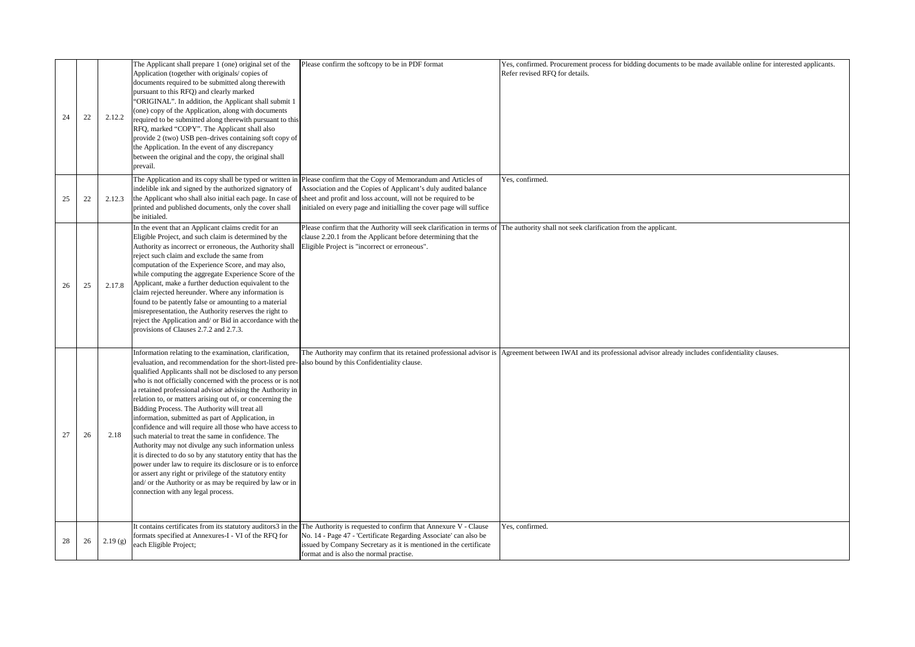| 24 | 22 | 2.12.2  | The Applicant shall prepare 1 (one) original set of the<br>Application (together with originals/copies of<br>documents required to be submitted along therewith<br>pursuant to this RFQ) and clearly marked<br>"ORIGINAL". In addition, the Applicant shall submit 1<br>(one) copy of the Application, along with documents<br>required to be submitted along therewith pursuant to this<br>RFQ, marked "COPY". The Applicant shall also<br>provide 2 (two) USB pen-drives containing soft copy of<br>the Application. In the event of any discrepancy<br>between the original and the copy, the original shall<br>prevail.                                                                                                                                                                                                                                                                                                                                                                      | Please confirm the softcopy to be in PDF format                                                                                                                                                                                                                                                                                | Yes, confirmed. Procurement process for bidding documents to be made available online for interested applicants.<br>Refer revised RFO for details.                |
|----|----|---------|--------------------------------------------------------------------------------------------------------------------------------------------------------------------------------------------------------------------------------------------------------------------------------------------------------------------------------------------------------------------------------------------------------------------------------------------------------------------------------------------------------------------------------------------------------------------------------------------------------------------------------------------------------------------------------------------------------------------------------------------------------------------------------------------------------------------------------------------------------------------------------------------------------------------------------------------------------------------------------------------------|--------------------------------------------------------------------------------------------------------------------------------------------------------------------------------------------------------------------------------------------------------------------------------------------------------------------------------|-------------------------------------------------------------------------------------------------------------------------------------------------------------------|
| 25 | 22 | 2.12.3  | indelible ink and signed by the authorized signatory of<br>the Applicant who shall also initial each page. In case of<br>printed and published documents, only the cover shall<br>be initialed.                                                                                                                                                                                                                                                                                                                                                                                                                                                                                                                                                                                                                                                                                                                                                                                                  | The Application and its copy shall be typed or written in Please confirm that the Copy of Memorandum and Articles of<br>Association and the Copies of Applicant's duly audited balance<br>sheet and profit and loss account, will not be required to be<br>initialed on every page and initialling the cover page will suffice | Yes, confirmed.                                                                                                                                                   |
| 26 | 25 | 2.17.8  | In the event that an Applicant claims credit for an<br>Eligible Project, and such claim is determined by the<br>Authority as incorrect or erroneous, the Authority shall<br>reject such claim and exclude the same from<br>computation of the Experience Score, and may also,<br>while computing the aggregate Experience Score of the<br>Applicant, make a further deduction equivalent to the<br>claim rejected hereunder. Where any information is<br>found to be patently false or amounting to a material<br>misrepresentation, the Authority reserves the right to<br>reject the Application and/ or Bid in accordance with the<br>provisions of Clauses 2.7.2 and 2.7.3.                                                                                                                                                                                                                                                                                                                  | Please confirm that the Authority will seek clarification in terms of The authority shall not seek clarification from the applicant.<br>clause 2.20.1 from the Applicant before determining that the<br>Eligible Project is "incorrect or erroneous".                                                                          |                                                                                                                                                                   |
| 27 | 26 | 2.18    | Information relating to the examination, clarification,<br>evaluation, and recommendation for the short-listed pre- also bound by this Confidentiality clause.<br>qualified Applicants shall not be disclosed to any person<br>who is not officially concerned with the process or is not<br>a retained professional advisor advising the Authority in<br>relation to, or matters arising out of, or concerning the<br>Bidding Process. The Authority will treat all<br>information, submitted as part of Application, in<br>confidence and will require all those who have access to<br>such material to treat the same in confidence. The<br>Authority may not divulge any such information unless<br>it is directed to do so by any statutory entity that has the<br>power under law to require its disclosure or is to enforce<br>or assert any right or privilege of the statutory entity<br>and/ or the Authority or as may be required by law or in<br>connection with any legal process. |                                                                                                                                                                                                                                                                                                                                | The Authority may confirm that its retained professional advisor is Agreement between IWAI and its professional advisor already includes confidentiality clauses. |
| 28 | 26 | 2.19(g) | formats specified at Annexures-I - VI of the RFQ for<br>each Eligible Project;                                                                                                                                                                                                                                                                                                                                                                                                                                                                                                                                                                                                                                                                                                                                                                                                                                                                                                                   | It contains certificates from its statutory auditors3 in the The Authority is requested to confirm that Annexure V - Clause<br>No. 14 - Page 47 - 'Certificate Regarding Associate' can also be<br>issued by Company Secretary as it is mentioned in the certificate<br>format and is also the normal practise.                | Yes, confirmed.                                                                                                                                                   |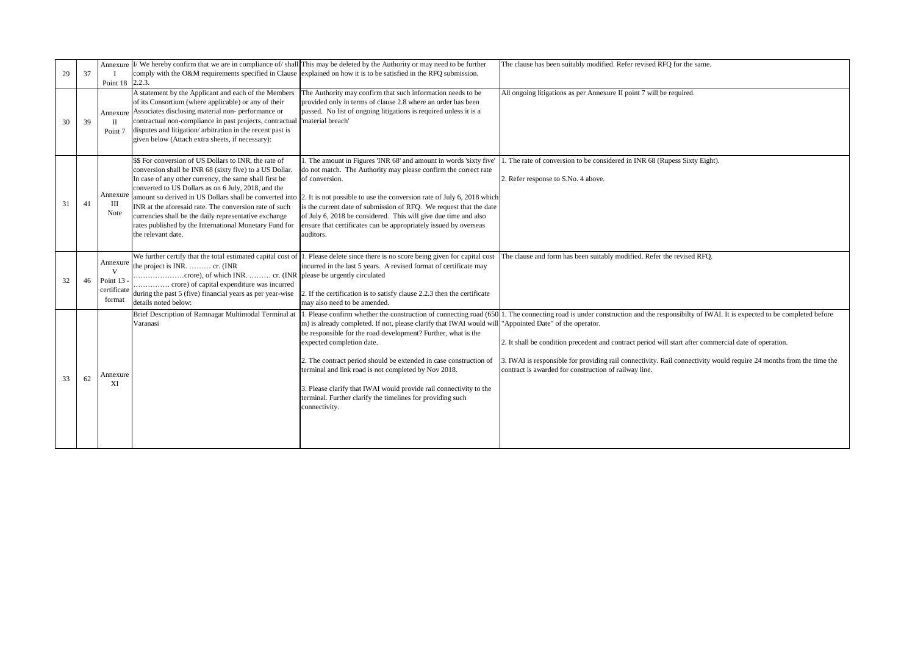| 29 | 37 | Point 18 2.2.3.                                      |                                                                                                                                                                                                                                                                                                                                                                                                                                                                                                 | Annexure II/ We hereby confirm that we are in compliance of/shall This may be deleted by the Authority or may need to be further<br>comply with the O&M requirements specified in Clause explained on how it is to be satisfied in the RFQ submission.                                                                                                                                                                                                                                 | The clause has been suitably modified. Refer revised RFQ for the same.                                                                                                                                                                                                                                                                                                                                                                                                      |
|----|----|------------------------------------------------------|-------------------------------------------------------------------------------------------------------------------------------------------------------------------------------------------------------------------------------------------------------------------------------------------------------------------------------------------------------------------------------------------------------------------------------------------------------------------------------------------------|----------------------------------------------------------------------------------------------------------------------------------------------------------------------------------------------------------------------------------------------------------------------------------------------------------------------------------------------------------------------------------------------------------------------------------------------------------------------------------------|-----------------------------------------------------------------------------------------------------------------------------------------------------------------------------------------------------------------------------------------------------------------------------------------------------------------------------------------------------------------------------------------------------------------------------------------------------------------------------|
| 30 | 39 | Point 7                                              | A statement by the Applicant and each of the Members<br>of its Consortium (where applicable) or any of their<br>Annexure Associates disclosing material non- performance or<br>contractual non-compliance in past projects, contractual<br>disputes and litigation/arbitration in the recent past is<br>given below (Attach extra sheets, if necessary):                                                                                                                                        | The Authority may confirm that such information needs to be<br>provided only in terms of clause 2.8 where an order has been<br>passed. No list of ongoing litigations is required unless it is a<br>'material breach'                                                                                                                                                                                                                                                                  | All ongoing litigations as per Annexure II point 7 will be required.                                                                                                                                                                                                                                                                                                                                                                                                        |
| 31 | 41 | Annexure<br>Ш<br>Note                                | \$\$ For conversion of US Dollars to INR, the rate of<br>conversion shall be INR 68 (sixty five) to a US Dollar.<br>In case of any other currency, the same shall first be<br>converted to US Dollars as on 6 July, 2018, and the<br>amount so derived in US Dollars shall be converted into<br>INR at the aforesaid rate. The conversion rate of such<br>currencies shall be the daily representative exchange<br>rates published by the International Monetary Fund for<br>the relevant date. | 1. The amount in Figures TNR 68' and amount in words 'sixty five'<br>do not match. The Authority may please confirm the correct rate<br>of conversion.<br>2. It is not possible to use the conversion rate of July 6, 2018 which<br>is the current date of submission of RFQ. We request that the date<br>of July 6, 2018 be considered. This will give due time and also<br>ensure that certificates can be appropriately issued by overseas<br>auditors.                             | . The rate of conversion to be considered in INR 68 (Rupess Sixty Eight).<br>2. Refer response to S.No. 4 above.                                                                                                                                                                                                                                                                                                                                                            |
| 32 | 46 | Annexure<br>V<br>Point 13 -<br>certificate<br>format | the project is INR.  cr. (INR<br>during the past 5 (five) financial years as per year-wise<br>details noted below:                                                                                                                                                                                                                                                                                                                                                                              | We further certify that the total estimated capital cost of 1. Please delete since there is no score being given for capital cost<br>incurred in the last 5 years. A revised format of certificate may<br>2. If the certification is to satisfy clause 2.2.3 then the certificate<br>may also need to be amended.                                                                                                                                                                      | The clause and form has been suitably modified. Refer the revised RFQ.                                                                                                                                                                                                                                                                                                                                                                                                      |
| 33 | 62 | Annexure<br>XI                                       | Brief Description of Ramnagar Multimodal Terminal at<br>Varanasi                                                                                                                                                                                                                                                                                                                                                                                                                                | m) is already completed. If not, please clarify that IWAI would will "Appointed Date" of the operator.<br>be responsible for the road development? Further, what is the<br>expected completion date.<br>2. The contract period should be extended in case construction of<br>terminal and link road is not completed by Nov 2018.<br>3. Please clarify that IWAI would provide rail connectivity to the<br>terminal. Further clarify the timelines for providing such<br>connectivity. | . Please confirm whether the construction of connecting road (650). The connecting road is under construction and the responsibilty of IWAI. It is expected to be completed before<br>2. It shall be condition precedent and contract period will start after commercial date of operation.<br>3. IWAI is responsible for providing rail connectivity. Rail connectivity would require 24 months from the time the<br>contract is awarded for construction of railway line. |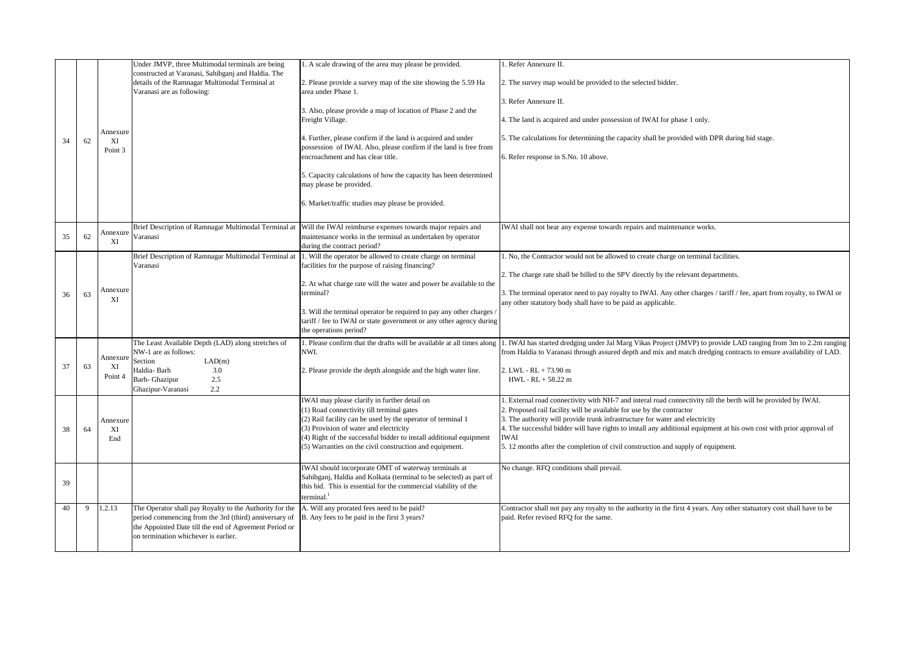|    |    |                           | Under JMVP, three Multimodal terminals are being                                                                                                                                                                   | 1. A scale drawing of the area may please be provided.                                                                                                                                                                  | 1. Refer Annexure II.                                                                                                                                                                                                                                                                                                                                                                          |
|----|----|---------------------------|--------------------------------------------------------------------------------------------------------------------------------------------------------------------------------------------------------------------|-------------------------------------------------------------------------------------------------------------------------------------------------------------------------------------------------------------------------|------------------------------------------------------------------------------------------------------------------------------------------------------------------------------------------------------------------------------------------------------------------------------------------------------------------------------------------------------------------------------------------------|
|    |    |                           | constructed at Varanasi, Sahibganj and Haldia. The<br>details of the Ramnagar Multimodal Terminal at<br>Varanasi are as following:                                                                                 | 2. Please provide a survey map of the site showing the 5.59 Ha<br>area under Phase 1.                                                                                                                                   | 2. The survey map would be provided to the selected bidder.                                                                                                                                                                                                                                                                                                                                    |
|    |    |                           |                                                                                                                                                                                                                    | 3. Also, please provide a map of location of Phase 2 and the<br>Freight Village.                                                                                                                                        | 3. Refer Annexure II.<br>4. The land is acquired and under possession of IWAI for phase 1 only.                                                                                                                                                                                                                                                                                                |
| 34 | 62 | Annexure<br>XI<br>Point 3 |                                                                                                                                                                                                                    | 4. Further, please confirm if the land is acquired and under<br>possession of IWAI. Also, please confirm if the land is free from<br>encroachment and has clear title.                                                  | 5. The calculations for determining the capacity shall be provided with DPR during bid stage.<br>6. Refer response in S.No. 10 above.                                                                                                                                                                                                                                                          |
|    |    |                           |                                                                                                                                                                                                                    | 5. Capacity calculations of how the capacity has been determined<br>may please be provided.                                                                                                                             |                                                                                                                                                                                                                                                                                                                                                                                                |
|    |    |                           |                                                                                                                                                                                                                    | 6. Market/traffic studies may please be provided.                                                                                                                                                                       |                                                                                                                                                                                                                                                                                                                                                                                                |
| 35 | 62 | Annexure<br>XI            | Brief Description of Ramnagar Multimodal Terminal at<br>Varanasi                                                                                                                                                   | Will the IWAI reimburse expenses towards major repairs and<br>maintenance works in the terminal as undertaken by operator<br>during the contract period?                                                                | IWAI shall not bear any expense towards repairs and maintenance works.                                                                                                                                                                                                                                                                                                                         |
|    |    |                           | Brief Description of Ramnagar Multimodal Terminal at<br>Varanasi                                                                                                                                                   | 1. Will the operator be allowed to create charge on terminal<br>facilities for the purpose of raising financing?                                                                                                        | 1. No, the Contractor would not be allowed to create charge on terminal facilities.                                                                                                                                                                                                                                                                                                            |
| 36 | 63 | Annexure<br>XI            |                                                                                                                                                                                                                    | 2. At what charge rate will the water and power be available to the<br>terminal?                                                                                                                                        | 2. The charge rate shall be billed to the SPV directly by the relevant departments.<br>3. The terminal operator need to pay royalty to IWAI. Any other charges / tariff / fee, apart from royalty, to IWAI or<br>any other statutory body shall have to be paid as applicable.                                                                                                                 |
|    |    |                           |                                                                                                                                                                                                                    | 3. Will the terminal operator be required to pay any other charges<br>tariff / fee to IWAI or state government or any other agency during<br>the operations period?                                                     |                                                                                                                                                                                                                                                                                                                                                                                                |
|    |    | Annexure                  | The Least Available Depth (LAD) along stretches of<br>NW-1 are as follows:<br>Section<br>LAD(m)                                                                                                                    | 1. Please confirm that the drafts will be available at all times along<br>NWI.                                                                                                                                          | . IWAI has started dredging under Jal Marg Vikas Project (JMVP) to provide LAD ranging from 3m to 2.2m ranging<br>from Haldia to Varanasi through assured depth and mix and match dredging contracts to ensure availability of LAD.                                                                                                                                                            |
| 37 | 63 | XI<br>Point 4             | Haldia-Barh<br>3.0<br>Barh- Ghazipur<br>2.5<br>Ghazipur-Varanasi<br>2.2                                                                                                                                            | 2. Please provide the depth alongside and the high water line.                                                                                                                                                          | 2. LWL - RL + 73.90 m<br>HWL - RL + 58.22 m                                                                                                                                                                                                                                                                                                                                                    |
| 38 | 64 | Annexure<br>XI            |                                                                                                                                                                                                                    | IWAI may please clarify in further detail on<br>(1) Road connectivity till terminal gates<br>(2) Rail facility can be used by the operator of terminal 1<br>(3) Provision of water and electricity                      | . External road connectivity with NH-7 and interal road connectivity till the berth will be provided by IWAI.<br>2. Proposed rail facility will be available for use by the contractor<br>3. The authority will provide trunk infrastructure for water and electricity<br>4. The successful bidder will have rights to install any additional equipment at his own cost with prior approval of |
|    |    | End                       |                                                                                                                                                                                                                    | (4) Right of the successful bidder to install additional equipment<br>(5) Warranties on the civil construction and equipment.                                                                                           | <b>IWAI</b><br>5.12 months after the completion of civil construction and supply of equipment.                                                                                                                                                                                                                                                                                                 |
| 39 |    |                           |                                                                                                                                                                                                                    | IWAI should incorporate OMT of waterway terminals at<br>Sahibganj, Haldia and Kolkata (terminal to be selected) as part of<br>this bid. This is essential for the commercial viability of the<br>terminal. <sup>1</sup> | No change. RFQ conditions shall prevail.                                                                                                                                                                                                                                                                                                                                                       |
| 40 | 9  | 1.2.13                    | The Operator shall pay Royalty to the Authority for the<br>period commencing from the 3rd (third) anniversary of<br>the Appointed Date till the end of Agreement Period or<br>on termination whichever is earlier. | A. Will any prorated fees need to be paid?<br>B. Any fees to be paid in the first 3 years?                                                                                                                              | Contractor shall not pay any royalty to the authority in the first 4 years. Any other statuatory cost shall have to be<br>paid. Refer revised RFQ for the same.                                                                                                                                                                                                                                |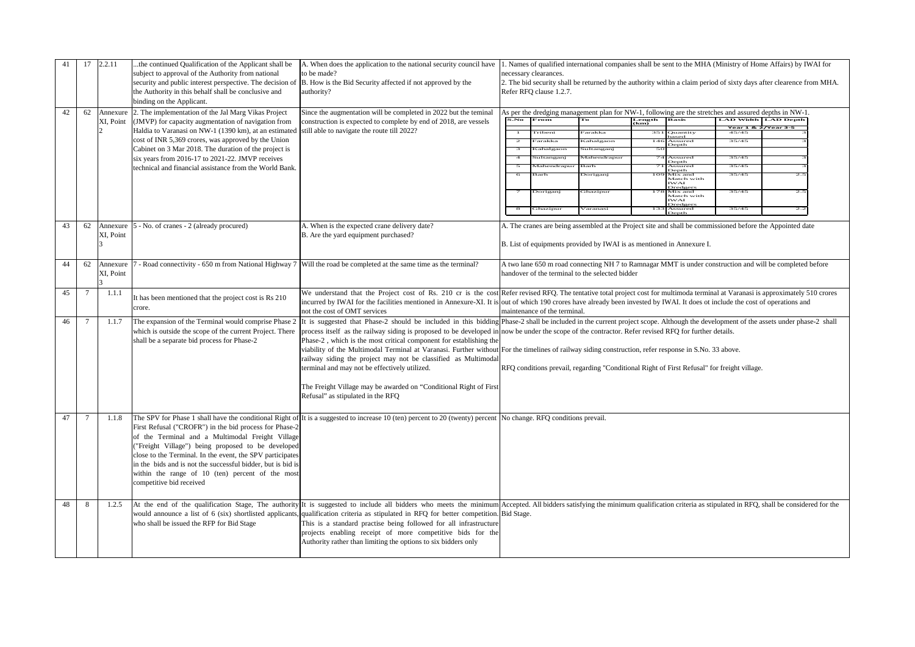| 41 | 17             | 2.2.11                | the continued Qualification of the Applicant shall be<br>subject to approval of the Authority from national<br>security and public interest perspective. The decision of<br>the Authority in this behalf shall be conclusive and<br>binding on the Applicant.                                                                                                               | A. When does the application to the national security council have<br>to be made?<br>B. How is the Bid Security affected if not approved by the<br>authority?                                                                                                                                                                                                                                                                                                                                                                                                                                                                                                                                                                                                                                                                                     | 1. Names of qualified international companies shall be sent to the MHA (Ministry of Home Affairs) by IWAI for<br>necessary clearances.<br>2. The bid security shall be returned by the authority within a claim period of sixty days after clearence from MHA.<br>Refer RFQ clause 1.2.7. |                                                                                                                                                                                                                                                                                                                                                     |                                       |                                                                                             |                       |                                                                                          |                         |            |  |
|----|----------------|-----------------------|-----------------------------------------------------------------------------------------------------------------------------------------------------------------------------------------------------------------------------------------------------------------------------------------------------------------------------------------------------------------------------|---------------------------------------------------------------------------------------------------------------------------------------------------------------------------------------------------------------------------------------------------------------------------------------------------------------------------------------------------------------------------------------------------------------------------------------------------------------------------------------------------------------------------------------------------------------------------------------------------------------------------------------------------------------------------------------------------------------------------------------------------------------------------------------------------------------------------------------------------|-------------------------------------------------------------------------------------------------------------------------------------------------------------------------------------------------------------------------------------------------------------------------------------------|-----------------------------------------------------------------------------------------------------------------------------------------------------------------------------------------------------------------------------------------------------------------------------------------------------------------------------------------------------|---------------------------------------|---------------------------------------------------------------------------------------------|-----------------------|------------------------------------------------------------------------------------------|-------------------------|------------|--|
| 42 | 62             | Annexure<br>XI, Point | 2. The implementation of the Jal Marg Vikas Project<br>(JMVP) for capacity augmentation of navigation from<br>Haldia to Varanasi on NW-1 (1390 km), at an estimated<br>cost of INR 5,369 crores, was approved by the Union                                                                                                                                                  | Since the augmentation will be completed in 2022 but the teminal<br>construction is expected to complete by end of 2018, are vessels<br>still able to navigate the route till 2022?                                                                                                                                                                                                                                                                                                                                                                                                                                                                                                                                                                                                                                                               |                                                                                                                                                                                                                                                                                           | As per the dredging management plan for NW-1, following are the stretches and assured depths in NW-1.<br>S.No<br>From<br>Length<br><b>Basis</b><br><b>LAD Width   LAD Depth</b><br>Гo<br>(km)<br>Year 1 & 2/Year 3-5<br>Tribeni<br>arakka<br>351<br>Quantity<br>based<br>45/45<br>35/45<br>$\overline{2}$<br>Farakka<br>Kahalgaon<br>14c<br>Assured |                                       |                                                                                             |                       |                                                                                          |                         |            |  |
|    |                |                       | Cabinet on 3 Mar 2018. The duration of the project is<br>six years from 2016-17 to 2021-22. JMVP receives<br>technical and financial assistance from the World Bank.                                                                                                                                                                                                        |                                                                                                                                                                                                                                                                                                                                                                                                                                                                                                                                                                                                                                                                                                                                                                                                                                                   |                                                                                                                                                                                                                                                                                           | $\overline{4}$<br>Barh                                                                                                                                                                                                                                                                                                                              | Kahalgaon<br>Sultanganj<br>Mahendrapu | Sultanganj<br>Mahendrapur<br>arh<br>.<br>Əoriganj                                           | $\overline{5}$<br>1Ō' | Depth<br>Assured<br>Depth<br>Assurec<br>Depth<br>Mix and<br>Match with<br>IWAI           | 35/45<br>35/45<br>35/45 | 2.5        |  |
|    |                |                       |                                                                                                                                                                                                                                                                                                                                                                             |                                                                                                                                                                                                                                                                                                                                                                                                                                                                                                                                                                                                                                                                                                                                                                                                                                                   |                                                                                                                                                                                                                                                                                           | Doriganj<br>Ghazipur                                                                                                                                                                                                                                                                                                                                |                                       | ihazipur<br>Varanasi                                                                        |                       | Dredgers<br>178 Mix and<br>Match with<br><b>WAI</b><br><b>Oredge</b><br>Assurec<br>Depth | 35/45<br>35/4:          | 2.5<br>2.2 |  |
| 43 | 62             | Annexure<br>XI, Point | 5 - No. of cranes - 2 (already procured)                                                                                                                                                                                                                                                                                                                                    | A. When is the expected crane delivery date?<br>B. Are the yard equipment purchased?                                                                                                                                                                                                                                                                                                                                                                                                                                                                                                                                                                                                                                                                                                                                                              | A. The cranes are being assembled at the Project site and shall be commissioned before the Appointed date<br>B. List of equipments provided by IWAI is as mentioned in Annexure I.                                                                                                        |                                                                                                                                                                                                                                                                                                                                                     |                                       |                                                                                             |                       |                                                                                          |                         |            |  |
| 44 | 62             | Annexure<br>XI, Point |                                                                                                                                                                                                                                                                                                                                                                             | Road connectivity - 650 m from National Highway 7 Will the road be completed at the same time as the terminal?                                                                                                                                                                                                                                                                                                                                                                                                                                                                                                                                                                                                                                                                                                                                    | A two lane 650 m road connecting NH 7 to Ramnagar MMT is under construction and will be completed before<br>handover of the terminal to the selected bidder                                                                                                                               |                                                                                                                                                                                                                                                                                                                                                     |                                       |                                                                                             |                       |                                                                                          |                         |            |  |
| 45 | $\overline{7}$ | 1.1.1                 | It has been mentioned that the project cost is Rs 210<br>crore.                                                                                                                                                                                                                                                                                                             | We understand that the Project cost of Rs. 210 cr is the cost Refer revised RFQ. The tentative total project cost for multimoda terminal at Varanasi is approximately 510 crores<br>incurred by IWAI for the facilities mentioned in Annexure-XI. It is out of which 190 crores have already been invested by IWAI. It does ot include the cost of operations and<br>not the cost of OMT services                                                                                                                                                                                                                                                                                                                                                                                                                                                 |                                                                                                                                                                                                                                                                                           | maintenance of the terminal.                                                                                                                                                                                                                                                                                                                        |                                       |                                                                                             |                       |                                                                                          |                         |            |  |
| 46 | 7              | 1.1.7                 | which is outside the scope of the current Project. There<br>shall be a separate bid process for Phase-2                                                                                                                                                                                                                                                                     | The expansion of the Terminal would comprise Phase 2  It is suggested that Phase-2 should be included in this bidding  Phase-2 shall be included in the current project scope. Although the development of the assets under p<br>process itself as the railway siding is proposed to be developed in now be under the scope of the contractor. Refer revised RFQ for further details.<br>Phase-2, which is the most critical component for establishing the<br>viability of the Multimodal Terminal at Varanasi. Further without For the timelines of railway siding construction, refer response in S.No. 33 above.<br>railway siding the project may not be classified as Multimodal<br>terminal and may not be effectively utilized.<br>The Freight Village may be awarded on "Conditional Right of First<br>Refusal" as stipulated in the RFQ |                                                                                                                                                                                                                                                                                           |                                                                                                                                                                                                                                                                                                                                                     |                                       | RFQ conditions prevail, regarding "Conditional Right of First Refusal" for freight village. |                       |                                                                                          |                         |            |  |
| 47 | 7              | 1.1.8                 | First Refusal ("CROFR") in the bid process for Phase-2<br>of the Terminal and a Multimodal Freight Village<br>"Freight Village") being proposed to be developed<br>close to the Terminal. In the event, the SPV participates<br>in the bids and is not the successful bidder, but is bid is<br>within the range of 10 (ten) percent of the most<br>competitive bid received | The SPV for Phase 1 shall have the conditional Right of It is a suggested to increase 10 (ten) percent to 20 (twenty) percent   No change. RFQ conditions prevail.                                                                                                                                                                                                                                                                                                                                                                                                                                                                                                                                                                                                                                                                                |                                                                                                                                                                                                                                                                                           |                                                                                                                                                                                                                                                                                                                                                     |                                       |                                                                                             |                       |                                                                                          |                         |            |  |
| 48 | 8              | 1.2.5                 | who shall be issued the RFP for Bid Stage                                                                                                                                                                                                                                                                                                                                   | At the end of the qualification Stage, The authority It is suggested to include all bidders who meets the minimum Accepted. All bidders satisfying the minimum qualification criteria as stipulated in RFQ, shall be considere<br>would announce a list of 6 (six) shortlisted applicants, qualification criteria as stipulated in RFQ for better competition. Bid Stage.<br>This is a standard practise being followed for all infrastructure<br>projects enabling receipt of more competitive bids for the<br>Authority rather than limiting the options to six bidders only                                                                                                                                                                                                                                                                    |                                                                                                                                                                                                                                                                                           |                                                                                                                                                                                                                                                                                                                                                     |                                       |                                                                                             |                       |                                                                                          |                         |            |  |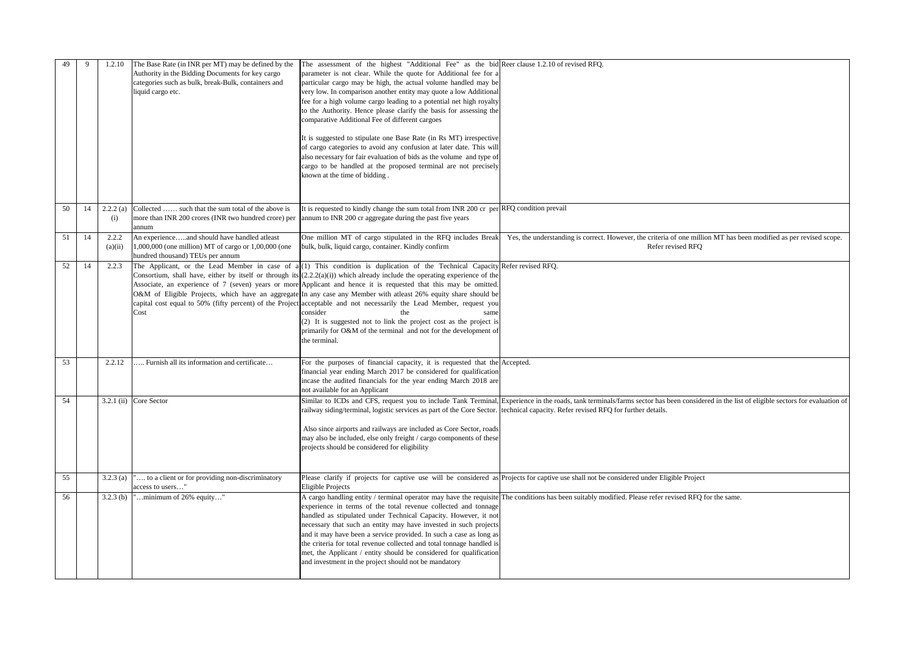| 49 | 9  | 1.2.10           | The Base Rate (in INR per MT) may be defined by the<br>Authority in the Bidding Documents for key cargo<br>categories such as bulk, break-Bulk, containers and<br>liquid cargo etc. | The assessment of the highest "Additional Fee" as the bid Reer clause 1.2.10 of revised RFQ.<br>parameter is not clear. While the quote for Additional fee for a<br>particular cargo may be high, the actual volume handled may be<br>very low. In comparison another entity may quote a low Additional<br>fee for a high volume cargo leading to a potential net high royalty<br>to the Authority. Hence please clarify the basis for assessing the<br>comparative Additional Fee of different cargoes<br>It is suggested to stipulate one Base Rate (in Rs MT) irrespective<br>of cargo categories to avoid any confusion at later date. This will<br>also necessary for fair evaluation of bids as the volume and type of<br>cargo to be handled at the proposed terminal are not precisely<br>known at the time of bidding. |                                                                                                                                                                                                                                                        |
|----|----|------------------|-------------------------------------------------------------------------------------------------------------------------------------------------------------------------------------|---------------------------------------------------------------------------------------------------------------------------------------------------------------------------------------------------------------------------------------------------------------------------------------------------------------------------------------------------------------------------------------------------------------------------------------------------------------------------------------------------------------------------------------------------------------------------------------------------------------------------------------------------------------------------------------------------------------------------------------------------------------------------------------------------------------------------------|--------------------------------------------------------------------------------------------------------------------------------------------------------------------------------------------------------------------------------------------------------|
| 50 | 14 | 2.2.2(a)<br>(i)  | Collected  such that the sum total of the above is<br>more than INR 200 crores (INR two hundred crore) per<br>annum                                                                 | It is requested to kindly change the sum total from INR 200 cr per RFQ condition prevail<br>annum to INR 200 cr aggregate during the past five years                                                                                                                                                                                                                                                                                                                                                                                                                                                                                                                                                                                                                                                                            |                                                                                                                                                                                                                                                        |
| 51 | 14 | 2.2.2<br>(a)(ii) | An experienceand should have handled atleast<br>$1,000,000$ (one million) MT of cargo or $1,00,000$ (one<br>hundred thousand) TEUs per annum                                        | One million MT of cargo stipulated in the RFQ includes Break<br>bulk, bulk, liquid cargo, container. Kindly confirm                                                                                                                                                                                                                                                                                                                                                                                                                                                                                                                                                                                                                                                                                                             | Yes, the understanding is correct. However, the criteria of one million MT has been modified as per revised scope.<br>Refer revised RFQ                                                                                                                |
| 52 | 14 | 2.2.3            | Cost                                                                                                                                                                                | The Applicant, or the Lead Member in case of $a(1)$ This condition is duplication of the Technical Capacity Refer revised RFQ.<br>Consortium, shall have, either by itself or through its $(2.2.2(a)(i))$ which already include the operating experience of the<br>Associate, an experience of 7 (seven) years or more Applicant and hence it is requested that this may be omitted.<br>O&M of Eligible Projects, which have an aggregate In any case any Member with atleast 26% equity share should be<br>capital cost equal to 50% (fifty percent) of the Project acceptable and not necessarily the Lead Member, request you<br>consider<br>the<br>same<br>(2) It is suggested not to link the project cost as the project is<br>primarily for O&M of the terminal and not for the development of<br>the terminal.          |                                                                                                                                                                                                                                                        |
| 53 |    | 2.2.12           | Furnish all its information and certificate                                                                                                                                         | For the purposes of financial capacity, it is requested that the Accepted.<br>financial year ending March 2017 be considered for qualification<br>incase the audited financials for the year ending March 2018 are<br>not available for an Applicant                                                                                                                                                                                                                                                                                                                                                                                                                                                                                                                                                                            |                                                                                                                                                                                                                                                        |
| 54 |    |                  | $3.2.1$ (ii) Core Sector                                                                                                                                                            | railway siding/terminal, logistic services as part of the Core Sector.<br>Also since airports and railways are included as Core Sector, roads<br>may also be included, else only freight / cargo components of these<br>projects should be considered for eligibility                                                                                                                                                                                                                                                                                                                                                                                                                                                                                                                                                           | Similar to ICDs and CFS, request you to include Tank Terminal, Experience in the roads, tank terminals/farms sector has been considered in the list of eligible sectors for evaluation of<br>echnical capacity. Refer revised RFQ for further details. |
| 55 |    | 3.2.3(a)         | to a client or for providing non-discriminatory<br>access to users"                                                                                                                 | Eligible Projects                                                                                                                                                                                                                                                                                                                                                                                                                                                                                                                                                                                                                                                                                                                                                                                                               | Please clarify if projects for captive use will be considered as Projects for captive use shall not be considered under Eligible Project                                                                                                               |
| 56 |    | $3.2.3$ (b)      | minimum of 26% equity"                                                                                                                                                              | experience in terms of the total revenue collected and tonnage<br>handled as stipulated under Technical Capacity. However, it not<br>necessary that such an entity may have invested in such projects<br>and it may have been a service provided. In such a case as long as<br>the criteria for total revenue collected and total tonnage handled is<br>met, the Applicant / entity should be considered for qualification<br>and investment in the project should not be mandatory                                                                                                                                                                                                                                                                                                                                             | A cargo handling entity / terminal operator may have the requisite The conditions has been suitably modified. Please refer revised RFQ for the same.                                                                                                   |